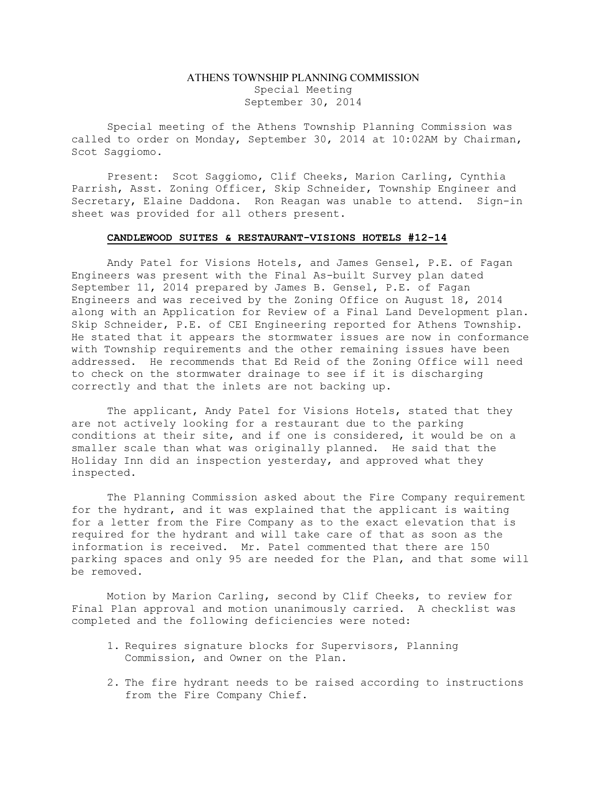## ATHENS TOWNSHIP PLANNING COMMISSION Special Meeting September 30, 2014

Special meeting of the Athens Township Planning Commission was called to order on Monday, September 30, 2014 at 10:02AM by Chairman, Scot Saggiomo.

Present: Scot Saggiomo, Clif Cheeks, Marion Carling, Cynthia Parrish, Asst. Zoning Officer, Skip Schneider, Township Engineer and Secretary, Elaine Daddona. Ron Reagan was unable to attend. Sign-in sheet was provided for all others present.

## CANDLEWOOD SUITES & RESTAURANT-VISIONS HOTELS #12-14

Andy Patel for Visions Hotels, and James Gensel, P.E. of Fagan Engineers was present with the Final As-built Survey plan dated September 11, 2014 prepared by James B. Gensel, P.E. of Fagan Engineers and was received by the Zoning Office on August 18, 2014 along with an Application for Review of a Final Land Development plan. Skip Schneider, P.E. of CEI Engineering reported for Athens Township. He stated that it appears the stormwater issues are now in conformance with Township requirements and the other remaining issues have been addressed. He recommends that Ed Reid of the Zoning Office will need to check on the stormwater drainage to see if it is discharging correctly and that the inlets are not backing up.

The applicant, Andy Patel for Visions Hotels, stated that they are not actively looking for a restaurant due to the parking conditions at their site, and if one is considered, it would be on a smaller scale than what was originally planned. He said that the Holiday Inn did an inspection yesterday, and approved what they inspected.

The Planning Commission asked about the Fire Company requirement for the hydrant, and it was explained that the applicant is waiting for a letter from the Fire Company as to the exact elevation that is required for the hydrant and will take care of that as soon as the information is received. Mr. Patel commented that there are 150 parking spaces and only 95 are needed for the Plan, and that some will be removed.

Motion by Marion Carling, second by Clif Cheeks, to review for Final Plan approval and motion unanimously carried. A checklist was completed and the following deficiencies were noted:

- 1. Requires signature blocks for Supervisors, Planning Commission, and Owner on the Plan.
- 2. The fire hydrant needs to be raised according to instructions from the Fire Company Chief.